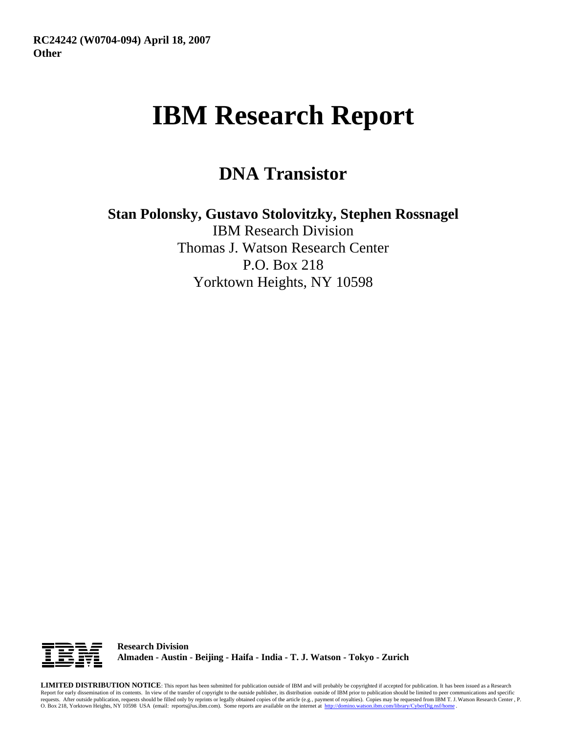# **IBM Research Report**

# **DNA Transistor**

**Stan Polonsky, Gustavo Stolovitzky, Stephen Rossnagel**

IBM Research Division Thomas J. Watson Research Center P.O. Box 218 Yorktown Heights, NY 10598



**Research Division Almaden - Austin - Beijing - Haifa - India - T. J. Watson - Tokyo - Zurich**

**LIMITED DISTRIBUTION NOTICE**: This report has been submitted for publication outside of IBM and will probably be copyrighted if accepted for publication. It has been issued as a Research Report for early dissemination of its contents. In view of the transfer of copyright to the outside publisher, its distribution outside of IBM prior to publication should be limited to peer communications and specific requests. After outside publication, requests should be filled only by reprints or legally obtained copies of the article (e.g., payment of royalties). Copies may be requested from IBM T. J. Watson Research Center , P.<br>O.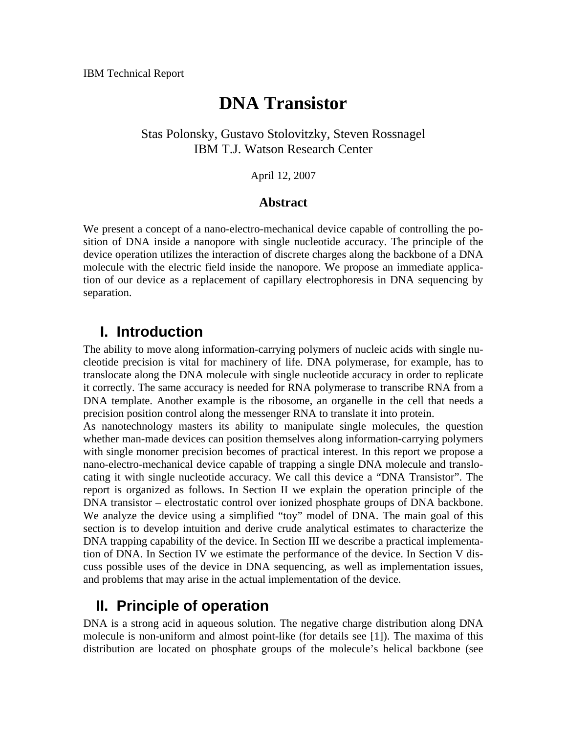# **DNA Transistor**

#### Stas Polonsky, Gustavo Stolovitzky, Steven Rossnagel IBM T.J. Watson Research Center

April 12, 2007

#### **Abstract**

We present a concept of a nano-electro-mechanical device capable of controlling the position of DNA inside a nanopore with single nucleotide accuracy. The principle of the device operation utilizes the interaction of discrete charges along the backbone of a DNA molecule with the electric field inside the nanopore. We propose an immediate application of our device as a replacement of capillary electrophoresis in DNA sequencing by separation.

### **I. Introduction**

The ability to move along information-carrying polymers of nucleic acids with single nucleotide precision is vital for machinery of life. DNA polymerase, for example, has to translocate along the DNA molecule with single nucleotide accuracy in order to replicate it correctly. The same accuracy is needed for RNA polymerase to transcribe RNA from a DNA template. Another example is the ribosome, an organelle in the cell that needs a precision position control along the messenger RNA to translate it into protein.

As nanotechnology masters its ability to manipulate single molecules, the question whether man-made devices can position themselves along information-carrying polymers with single monomer precision becomes of practical interest. In this report we propose a nano-electro-mechanical device capable of trapping a single DNA molecule and translocating it with single nucleotide accuracy. We call this device a "DNA Transistor". The report is organized as follows. In Section [II](#page-1-0) we explain the operation principle of the DNA transistor – electrostatic control over ionized phosphate groups of DNA backbone. We analyze the device using a simplified "toy" model of DNA. The main goal of this section is to develop intuition and derive crude analytical estimates to characterize the DNA trapping capability of the device. In Section III we describe a practical implementation of DNA. In Section [IV](#page-6-0) we estimate the performance of the device. In Section V discuss possible uses of the device in DNA sequencing, as well as implementation issues, and problems that may arise in the actual implementation of the device.

# **II. Principle of operation**

<span id="page-1-0"></span>DNA is a strong acid in aqueous solution. The negative charge distribution along DNA molecule is non-uniform and almost point-like (for details see [1]). The maxima of this distribution are located on phosphate groups of the molecule's helical backbone (see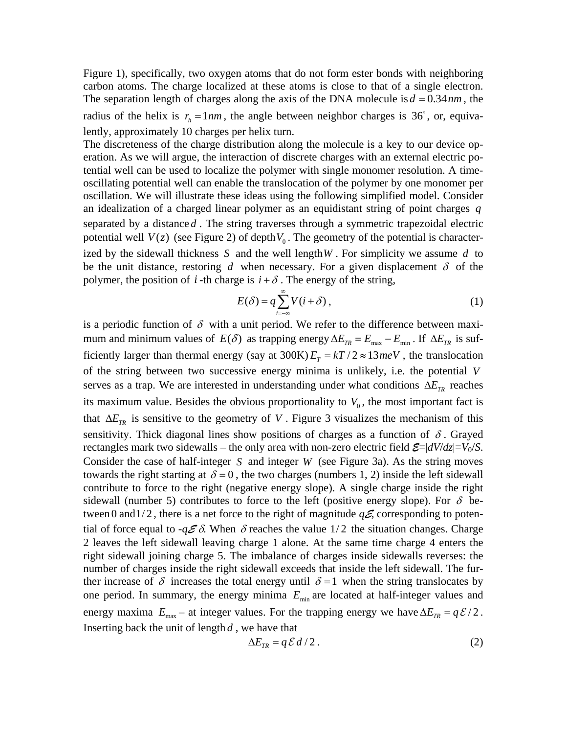[Figure 1](#page-15-0)), specifically, two oxygen atoms that do not form ester bonds with neighboring carbon atoms. The charge localized at these atoms is close to that of a single electron. The separation length of charges along the axis of the DNA molecule is  $d = 0.34$  *nm*, the radius of the helix is  $r_h = 1 \, nm$ , the angle between neighbor charges is 36°, or, equivalently, approximately 10 charges per helix turn.

The discreteness of the charge distribution along the molecule is a key to our device operation. As we will argue, the interaction of discrete charges with an external electric potential well can be used to localize the polymer with single monomer resolution. A timeoscillating potential well can enable the translocation of the polymer by one monomer per oscillation. We will illustrate these ideas using the following simplified model. Consider an idealization of a charged linear polymer as an equidistant string of point charges *q* separated by a distance  $d$ . The string traverses through a symmetric trapezoidal electric potential well  $V(z)$  (see [Figure 2\)](#page-16-0) of depth  $V_0$ . The geometry of the potential is characterized by the sidewall thickness  $S$  and the well length  $W$ . For simplicity we assume  $d$  to be the unit distance, restoring  $d$  when necessary. For a given displacement  $\delta$  of the polymer, the position of *i* -th charge is  $i + \delta$ . The energy of the string,

$$
E(\delta) = q \sum_{i=-\infty}^{\infty} V(i+\delta) , \qquad (1)
$$

<span id="page-2-1"></span>is a periodic function of  $\delta$  with a unit period. We refer to the difference between maximum and minimum values of  $E(\delta)$  as trapping energy  $\Delta E_{TR} = E_{max} - E_{min}$ . If  $\Delta E_{TR}$  is sufficiently larger than thermal energy (say at  $300K$ )  $E_T = kT/2 \approx 13meV$ , the translocation of the string between two successive energy minima is unlikely, i.e. the potential *V* serves as a trap. We are interested in understanding under what conditions  $\Delta E_{TR}$  reaches its maximum value. Besides the obvious proportionality to  $V_0$ , the most important fact is that  $\Delta E_{TR}$  is sensitive to the geometry of *V*. [Figure 3](#page-16-1) visualizes the mechanism of this sensitivity. Thick diagonal lines show positions of charges as a function of  $\delta$ . Grayed rectangles mark two sidewalls – the only area with non-zero electric field  $\mathcal{E} = |dV/dz| = V_0/S$ . Consider the case of half-integer *S* and integer *W* (see [Figure 3a](#page-16-1)). As the string moves towards the right starting at  $\delta = 0$ , the two charges (numbers 1, 2) inside the left sidewall contribute to force to the right (negative energy slope). A single charge inside the right sidewall (number 5) contributes to force to the left (positive energy slope). For  $\delta$  between 0 and  $1/2$ , there is a net force to the right of magnitude  $q\mathcal{E}$ , corresponding to potential of force equal to  $-q \mathcal{E} \delta$ . When  $\delta$  reaches the value  $1/2$  the situation changes. Charge 2 leaves the left sidewall leaving charge 1 alone. At the same time charge 4 enters the right sidewall joining charge 5. The imbalance of charges inside sidewalls reverses: the number of charges inside the right sidewall exceeds that inside the left sidewall. The further increase of  $\delta$  increases the total energy until  $\delta = 1$  when the string translocates by one period. In summary, the energy minima  $E_{\text{min}}$  are located at half-integer values and energy maxima  $E_{\text{max}}$  – at integer values. For the trapping energy we have  $\Delta E_{TR} = q \mathcal{E}/2$ . Inserting back the unit of length  $d$ , we have that

<span id="page-2-0"></span>
$$
\Delta E_{TR} = q \mathcal{E} \, d/2 \,. \tag{2}
$$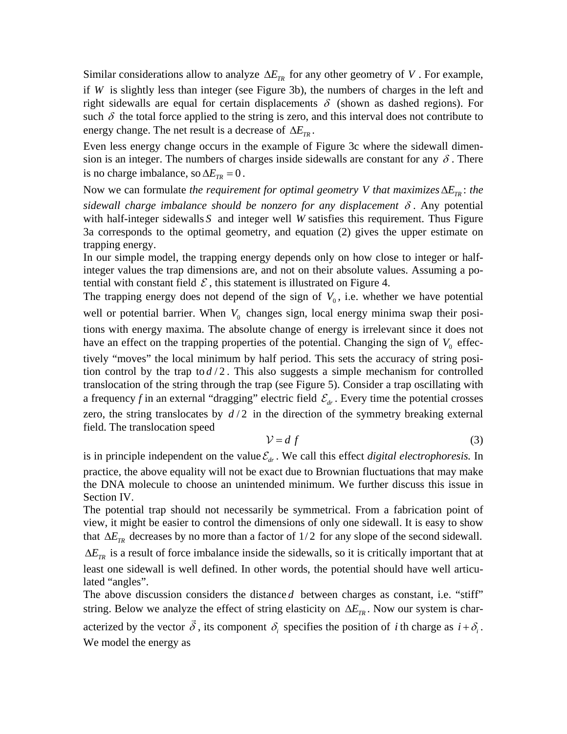Similar considerations allow to analyze  $\Delta E_{TR}$  for any other geometry of *V*. For example, if *W* is slightly less than integer (see [Figure 3](#page-16-1)b), the numbers of charges in the left and right sidewalls are equal for certain displacements  $\delta$  (shown as dashed regions). For such  $\delta$  the total force applied to the string is zero, and this interval does not contribute to energy change. The net result is a decrease of  $\Delta E_{TR}$ .

Even less energy change occurs in the example of [Figure 3c](#page-16-1) where the sidewall dimension is an integer. The numbers of charges inside sidewalls are constant for any  $\delta$ . There is no charge imbalance, so  $\Delta E_{TR} = 0$ .

Now we can formulate *the requirement for optimal geometry V that maximizes*  $\Delta E_{TR}$ : *the* sidewall charge imbalance should be nonzero for any displacement  $\delta$ . Any potential with half-integer sidewalls *S* and integer well *W* satisfies this requirement. Thus Figure [3](#page-16-1)a corresponds to the optimal geometry, and equation [\(2\)](#page-2-0) gives the upper estimate on trapping energy.

In our simple model, the trapping energy depends only on how close to integer or halfinteger values the trap dimensions are, and not on their absolute values. Assuming a potential with constant field  $\mathcal E$ , this statement is illustrated on [Figure 4.](#page-17-0)

The trapping energy does not depend of the sign of  $V_0$ , i.e. whether we have potential well or potential barrier. When  $V_0$  changes sign, local energy minima swap their positions with energy maxima. The absolute change of energy is irrelevant since it does not have an effect on the trapping properties of the potential. Changing the sign of  $V_0$  effectively "moves" the local minimum by half period. This sets the accuracy of string position control by the trap to  $d/2$ . This also suggests a simple mechanism for controlled translocation of the string through the trap (see [Figure 5](#page-17-1)). Consider a trap oscillating with a frequency *f* in an external "dragging" electric field  $\mathcal{E}_{dr}$ . Every time the potential crosses zero, the string translocates by  $d/2$  in the direction of the symmetry breaking external field. The translocation speed

$$
\mathcal{V} = df \tag{3}
$$

is in principle independent on the value  $\mathcal{E}_{dr}$ . We call this effect *digital electrophoresis*. In practice, the above equality will not be exact due to Brownian fluctuations that may make the DNA molecule to choose an unintended minimum. We further discuss this issue in Section [IV.](#page-6-0)

The potential trap should not necessarily be symmetrical. From a fabrication point of view, it might be easier to control the dimensions of only one sidewall. It is easy to show that  $\Delta E_{TR}$  decreases by no more than a factor of 1/2 for any slope of the second sidewall.

 $\Delta E_{TR}$  is a result of force imbalance inside the sidewalls, so it is critically important that at least one sidewall is well defined. In other words, the potential should have well articulated "angles".

The above discussion considers the distance  $d$  between charges as constant, i.e. "stiff" string. Below we analyze the effect of string elasticity on  $\Delta E_{TR}$ . Now our system is char- $\overline{a}$ 

acterized by the vector  $\delta$ , its component  $\delta_i$  specifies the position of *i* th charge as  $i + \delta_i$ . We model the energy as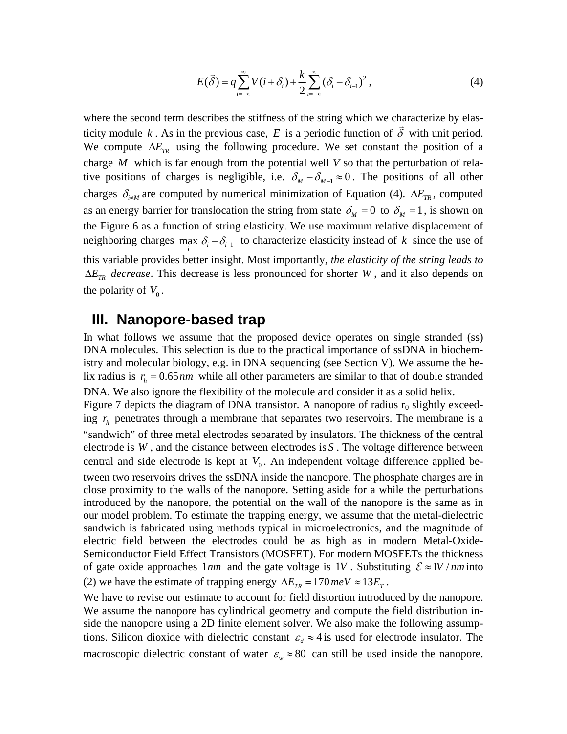$$
E(\vec{\delta}) = q \sum_{i=-\infty}^{\infty} V(i + \delta_i) + \frac{k}{2} \sum_{i=-\infty}^{\infty} (\delta_i - \delta_{i-1})^2,
$$
 (4)

<span id="page-4-0"></span>where the second term describes the stiffness of the string which we characterize by elasticity module k. As in the previous case, E is a periodic function of  $\delta$  with unit period. We compute  $\Delta E_{TR}$  using the following procedure. We set constant the position of a charge *M* which is far enough from the potential well *V* so that the perturbation of relative positions of charges is negligible, i.e.  $\delta_M - \delta_{M-1} \approx 0$ . The positions of all other charges  $\delta_{i \neq M}$  are computed by numerical minimization of Equation [\(4\).](#page-4-0)  $\Delta E_{TR}$ , computed as an energy barrier for translocation the string from state  $\delta_M = 0$  to  $\delta_M = 1$ , is shown on the [Figure 6](#page-18-0) as a function of string elasticity. We use maximum relative displacement of neighboring charges  $\max_i |\delta_i - \delta_{i-1}|$  to characterize elasticity instead of k since the use of this variable provides better insight. Most importantly, *the elasticity of the string leads to*   $\Delta E_{TR}$  *decrease*. This decrease is less pronounced for shorter *W*, and it also depends on the polarity of  $V_0$ .

#### **III. Nanopore-based trap**

In what follows we assume that the proposed device operates on single stranded (ss) DNA molecules. This selection is due to the practical importance of ssDNA in biochemistry and molecular biology, e.g. in DNA sequencing (see Section V). We assume the helix radius is  $r<sub>h</sub> = 0.65$  *nm* while all other parameters are similar to that of double stranded DNA. We also ignore the flexibility of the molecule and consider it as a solid helix.

[Figure 7](#page-18-1) depicts the diagram of DNA transistor. A nanopore of radius  $r_0$  slightly exceeding  $r<sub>h</sub>$  penetrates through a membrane that separates two reservoirs. The membrane is a "sandwich" of three metal electrodes separated by insulators. The thickness of the central electrode is  $W$ , and the distance between electrodes is  $S$ . The voltage difference between central and side electrode is kept at  $V_0$ . An independent voltage difference applied between two reservoirs drives the ssDNA inside the nanopore. The phosphate charges are in close proximity to the walls of the nanopore. Setting aside for a while the perturbations introduced by the nanopore, the potential on the wall of the nanopore is the same as in our model problem. To estimate the trapping energy, we assume that the metal-dielectric sandwich is fabricated using methods typical in microelectronics, and the magnitude of electric field between the electrodes could be as high as in modern Metal-Oxide-Semiconductor Field Effect Transistors (MOSFET). For modern MOSFETs the thickness of gate oxide approaches  $1nm$  and the gate voltage is  $1V$ . Substituting  $\mathcal{E} \approx 1V / nm$  into [\(2\)](#page-2-0) we have the estimate of trapping energy  $\Delta E_{TR} = 170 \text{ meV} \approx 13 E_{T}$ .

We have to revise our estimate to account for field distortion introduced by the nanopore. We assume the nanopore has cylindrical geometry and compute the field distribution inside the nanopore using a 2D finite element solver. We also make the following assumptions. Silicon dioxide with dielectric constant  $\varepsilon_d \approx 4$  is used for electrode insulator. The macroscopic dielectric constant of water  $\varepsilon_w \approx 80$  can still be used inside the nanopore.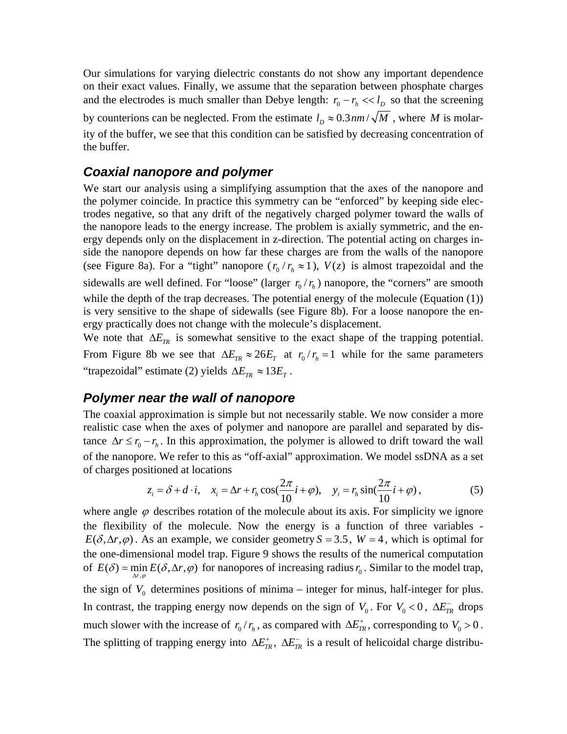Our simulations for varying dielectric constants do not show any important dependence on their exact values. Finally, we assume that the separation between phosphate charges and the electrodes is much smaller than Debye length:  $r_0 - r_h \ll l_D$  so that the screening by counterions can be neglected. From the estimate  $l_D \approx 0.3$  *nm*  $\sqrt{M}$ , where *M* is molarity of the buffer, we see that this condition can be satisfied by decreasing concentration of the buffer.

#### *Coaxial nanopore and polymer*

We start our analysis using a simplifying assumption that the axes of the nanopore and the polymer coincide. In practice this symmetry can be "enforced" by keeping side electrodes negative, so that any drift of the negatively charged polymer toward the walls of the nanopore leads to the energy increase. The problem is axially symmetric, and the energy depends only on the displacement in z-direction. The potential acting on charges inside the nanopore depends on how far these charges are from the walls of the nanopore (see [Figure 8](#page-19-0)a). For a "tight" nanopore  $(r_0 / r_h \approx 1)$ ,  $V(z)$  is almost trapezoidal and the sidewalls are well defined. For "loose" (larger  $r_0 / r_h$ ) nanopore, the "corners" are smooth while the depth of the trap decreases. The potential energy of the molecule (Equation [\(1\)\)](#page-2-1) is very sensitive to the shape of sidewalls (see [Figure 8](#page-19-0)b). For a loose nanopore the energy practically does not change with the molecule's displacement.

We note that  $\Delta E_{TR}$  is somewhat sensitive to the exact shape of the trapping potential. From [Figure 8b](#page-19-0) we see that  $\Delta E_{TR} \approx 26E_T$  at  $r_0/r_h = 1$  while for the same parameters "trapezoidal" estimate [\(2\)](#page-2-0) yields  $\Delta E_{TR} \approx 13E_T$ .

#### *Polymer near the wall of nanopore*

The coaxial approximation is simple but not necessarily stable. We now consider a more realistic case when the axes of polymer and nanopore are parallel and separated by distance  $\Delta r \le r_0 - r_h$ . In this approximation, the polymer is allowed to drift toward the wall of the nanopore. We refer to this as "off-axial" approximation. We model ssDNA as a set of charges positioned at locations

$$
z_i = \delta + d \cdot i, \quad x_i = \Delta r + r_h \cos(\frac{2\pi}{10}i + \varphi), \quad y_i = r_h \sin(\frac{2\pi}{10}i + \varphi), \tag{5}
$$

where angle  $\varphi$  describes rotation of the molecule about its axis. For simplicity we ignore the flexibility of the molecule. Now the energy is a function of three variables -  $E(\delta, \Delta r, \varphi)$ . As an example, we consider geometry *S* = 3.5, *W* = 4, which is optimal for the one-dimensional model trap. [Figure 9](#page-20-0) shows the results of the numerical computation of  $E(\delta) = \min_{\Delta r, \varphi} E(\delta, \Delta r, \varphi)$  for nanopores of increasing radius  $r_0$ . Similar to the model trap, ϕ the sign of  $V_0$  determines positions of minima – integer for minus, half-integer for plus. In contrast, the trapping energy now depends on the sign of  $V_0$ . For  $V_0 < 0$ ,  $\Delta E_{TR}^-$  drops much slower with the increase of  $r_0/r_h$ , as compared with  $\Delta E_{TR}^+$ , corresponding to  $V_0 > 0$ . The splitting of trapping energy into  $\Delta E_{TR}^+$ ,  $\Delta E_{TR}^-$  is a result of helicoidal charge distribu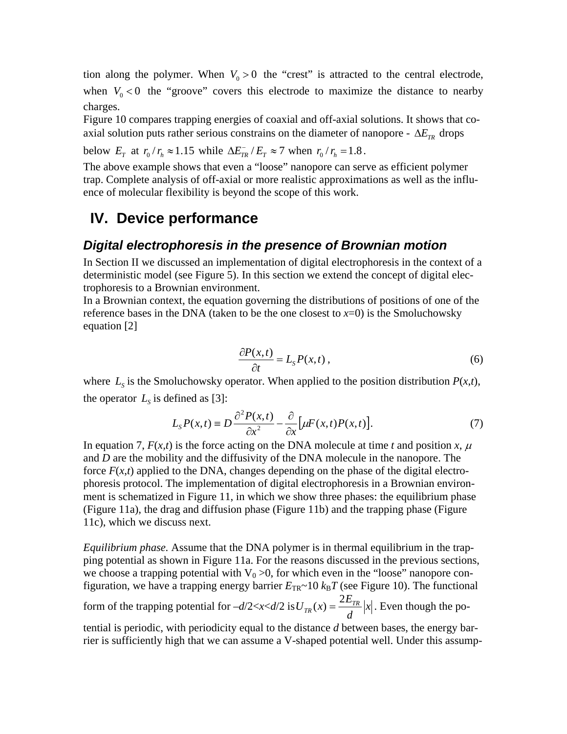tion along the polymer. When  $V_0 > 0$  the "crest" is attracted to the central electrode, when  $V_0 < 0$  the "groove" covers this electrode to maximize the distance to nearby charges.

[Figure 10](#page-21-0) compares trapping energies of coaxial and off-axial solutions. It shows that coaxial solution puts rather serious constrains on the diameter of nanopore -  $\Delta E_{TR}$  drops

below  $E_T$  at  $r_0 / r_h \approx 1.15$  while  $\Delta E_{TR}^T / E_T \approx 7$  when  $r_0 / r_h = 1.8$ .

The above example shows that even a "loose" nanopore can serve as efficient polymer trap. Complete analysis of off-axial or more realistic approximations as well as the influence of molecular flexibility is beyond the scope of this work.

### <span id="page-6-0"></span>**IV. Device performance**

#### *Digital electrophoresis in the presence of Brownian motion*

In Section II we discussed an implementation of digital electrophoresis in the context of a deterministic model (see [Figure 5](#page-17-1)). In this section we extend the concept of digital electrophoresis to a Brownian environment.

In a Brownian context, the equation governing the distributions of positions of one of the reference bases in the DNA (taken to be the one closest to  $x=0$ ) is the Smoluchowsky equation [2]

$$
\frac{\partial P(x,t)}{\partial t} = L_{S} P(x,t) \,, \tag{6}
$$

where  $L_s$  is the Smoluchowsky operator. When applied to the position distribution  $P(x,t)$ , the operator  $L<sub>S</sub>$  is defined as [3]:

$$
L_{S}P(x,t) \equiv D \frac{\partial^{2} P(x,t)}{\partial x^{2}} - \frac{\partial}{\partial x} \Big[ \mu F(x,t) P(x,t) \Big].
$$
 (7)

In equation 7,  $F(x,t)$  is the force acting on the DNA molecule at time *t* and position x,  $\mu$ and *D* are the mobility and the diffusivity of the DNA molecule in the nanopore. The force  $F(x,t)$  applied to the DNA, changes depending on the phase of the digital electrophoresis protocol. The implementation of digital electrophoresis in a Brownian environment is schematized in [Figure 11](#page-22-0), in which we show three phases: the equilibrium phase ([Figure 11](#page-22-0)a), the drag and diffusion phase ([Figure 11b](#page-22-0)) and the trapping phase [\(Figure](#page-22-0)  [11](#page-22-0)c), which we discuss next.

*Equilibrium phase.* Assume that the DNA polymer is in thermal equilibrium in the trapping potential as shown in [Figure 11](#page-22-0)a. For the reasons discussed in the previous sections, we choose a trapping potential with  $V_0 > 0$ , for which even in the "loose" nanopore configuration, we have a trapping energy barrier  $E_{TR}$ ~10  $k_B T$  (see [Figure 10\)](#page-21-0). The functional

form of the trapping potential for  $-d/2 < x < d/2$  is  $U_{TR}(x) = \frac{2L_{TR}}{x}$  x *d*  $U_{TR}(x) = \frac{2E_{TR}}{I} |x|$ . Even though the po-

tential is periodic, with periodicity equal to the distance *d* between bases, the energy barrier is sufficiently high that we can assume a V-shaped potential well. Under this assump-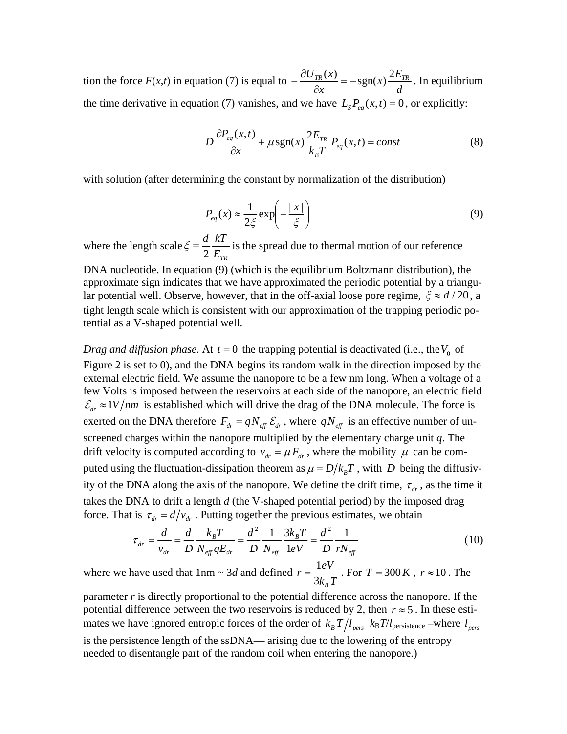tion the force  $F(x,t)$  in equation (7) is equal to  $-\frac{\partial U_{TR}(x)}{\partial x} = -\text{sgn}(x)\frac{2E}{d}$  $-\frac{\partial U_{TR}(x)}{\partial x} = -\text{sgn}(x)\frac{2E_{TR}}{d}$ . In equilibrium the time derivative in equation (7) vanishes, and we have  $L_s P_{eq}(x,t) = 0$ , or explicitly:

$$
D\frac{\partial P_{eq}(x,t)}{\partial x} + \mu \operatorname{sgn}(x) \frac{2E_{TR}}{k_B T} P_{eq}(x,t) = const
$$
 (8)

with solution (after determining the constant by normalization of the distribution)

$$
P_{eq}(x) \approx \frac{1}{2\xi} \exp\left(-\frac{|x|}{\xi}\right) \tag{9}
$$

where the length scale  $\zeta = \frac{d}{2} \frac{kT}{E_{TR}}$  is the spread due to thermal motion of our reference

DNA nucleotide. In equation (9) (which is the equilibrium Boltzmann distribution), the approximate sign indicates that we have approximated the periodic potential by a triangular potential well. Observe, however, that in the off-axial loose pore regime,  $\xi \approx d/20$ , a tight length scale which is consistent with our approximation of the trapping periodic potential as a V-shaped potential well.

*Drag and diffusion phase.* At  $t = 0$  the trapping potential is deactivated (i.e., the  $V_0$  of [Figure 2](#page-16-0) is set to 0), and the DNA begins its random walk in the direction imposed by the external electric field. We assume the nanopore to be a few nm long. When a voltage of a few Volts is imposed between the reservoirs at each side of the nanopore, an electric field  $\mathcal{E}_{dr} \approx 1 V / nm$  is established which will drive the drag of the DNA molecule. The force is exerted on the DNA therefore  $F_{dr} = qN_{\text{eff}} \mathcal{E}_{dr}$ , where  $qN_{\text{eff}}$  is an effective number of unscreened charges within the nanopore multiplied by the elementary charge unit *q*. The drift velocity is computed according to  $v_{dr} = \mu F_{dr}$ , where the mobility  $\mu$  can be computed using the fluctuation-dissipation theorem as  $\mu = D/k_B T$ , with *D* being the diffusivity of the DNA along the axis of the nanopore. We define the drift time,  $\tau_{dr}$ , as the time it takes the DNA to drift a length *d* (the V-shaped potential period) by the imposed drag force. That is  $\tau_{dr} = d/v_{dr}$ . Putting together the previous estimates, we obtain

$$
\tau_{dr} = \frac{d}{v_{dr}} = \frac{d}{D} \frac{k_B T}{N_{\text{eff}} q E_{dr}} = \frac{d^2}{D} \frac{1}{N_{\text{eff}}} \frac{3k_B T}{1 eV} = \frac{d^2}{D} \frac{1}{r N_{\text{eff}}}
$$
(10)

where we have used that  $1$ nm ~ 3*d* and defined  $r = \frac{1}{x}$  $3k_B$  $r = \frac{1eV}{3k_B T}$ . For  $T = 300 K$ ,  $r \approx 10$ . The

parameter *r* is directly proportional to the potential difference across the nanopore. If the potential difference between the two reservoirs is reduced by 2, then  $r \approx 5$ . In these estimates we have ignored entropic forces of the order of  $k_B T / l_{pers}$   $k_B T / l_{persistence}$  –where  $l_{pers}$ is the persistence length of the ssDNA— arising due to the lowering of the entropy needed to disentangle part of the random coil when entering the nanopore.)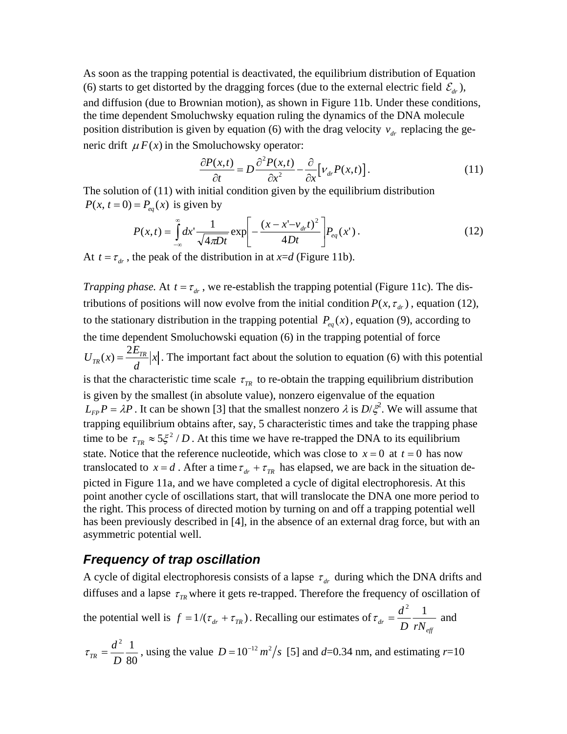As soon as the trapping potential is deactivated, the equilibrium distribution of Equation (6) starts to get distorted by the dragging forces (due to the external electric field  $\mathcal{E}_{dr}$ ), and diffusion (due to Brownian motion), as shown in [Figure 11b](#page-22-0). Under these conditions, the time dependent Smoluchwsky equation ruling the dynamics of the DNA molecule position distribution is given by equation (6) with the drag velocity  $v_{dr}$  replacing the generic drift  $\mu F(x)$  in the Smoluchowsky operator:

$$
\frac{\partial P(x,t)}{\partial t} = D \frac{\partial^2 P(x,t)}{\partial x^2} - \frac{\partial}{\partial x} \Big[ V_{dr} P(x,t) \Big]. \tag{11}
$$

The solution of (11) with initial condition given by the equilibrium distribution  $P(x, t = 0) = P_{eq}(x)$  is given by

$$
P(x,t) = \int_{-\infty}^{\infty} dx' \frac{1}{\sqrt{4\pi Dt}} \exp\left[-\frac{(x - x' - v_{dr}t)^2}{4Dt}\right] P_{eq}(x').
$$
 (12)

At  $t = \tau_{dr}$ , the peak of the distribution in at  $x = d$  [\(Figure 11b](#page-22-0)).

*Trapping phase.* At  $t = \tau_{dr}$ , we re-establish the trapping potential [\(Figure 11c](#page-22-0)). The distributions of positions will now evolve from the initial condition  $P(x, \tau_{dr})$ , equation (12), to the stationary distribution in the trapping potential  $P_{eq}(x)$ , equation (9), according to the time dependent Smoluchowski equation (6) in the trapping potential of force  $U_{TR}(x) = \frac{2E_{TR}}{d}|x|$ . The important fact about the solution to equation (6) with this potential is that the characteristic time scale  $\tau_{TR}$  to re-obtain the trapping equilibrium distribution is given by the smallest (in absolute value), nonzero eigenvalue of the equation  $L_{FP}P = \lambda P$ . It can be shown [3] that the smallest nonzero  $\lambda$  is  $D/\xi^2$ . We will assume that trapping equilibrium obtains after, say, 5 characteristic times and take the trapping phase time to be  $\tau_{TR} \approx 5 \xi^2 / D$ . At this time we have re-trapped the DNA to its equilibrium state. Notice that the reference nucleotide, which was close to  $x = 0$  at  $t = 0$  has now translocated to  $x = d$ . After a time  $\tau_{dr} + \tau_{TR}$  has elapsed, we are back in the situation depicted in [Figure 11a](#page-22-0), and we have completed a cycle of digital electrophoresis. At this point another cycle of oscillations start, that will translocate the DNA one more period to the right. This process of directed motion by turning on and off a trapping potential well has been previously described in [4], in the absence of an external drag force, but with an asymmetric potential well.

#### *Frequency of trap oscillation*

A cycle of digital electrophoresis consists of a lapse  $\tau_{dr}$  during which the DNA drifts and diffuses and a lapse  $\tau_{IR}$  where it gets re-trapped. Therefore the frequency of oscillation of

the potential well is  $f = 1/(\tau_{dr} + \tau_{TR})$ . Recalling our estimates of  $e^{dr}$  *D*  $rN_{\text{eff}}$  $\tau_{dr} = \frac{d^2}{r} \frac{1}{r}$  and

$$
\tau_{TR} = \frac{d^2}{D} \frac{1}{80}
$$
, using the value  $D = 10^{-12} m^2/s$  [5] and d=0.34 nm, and estimating r=10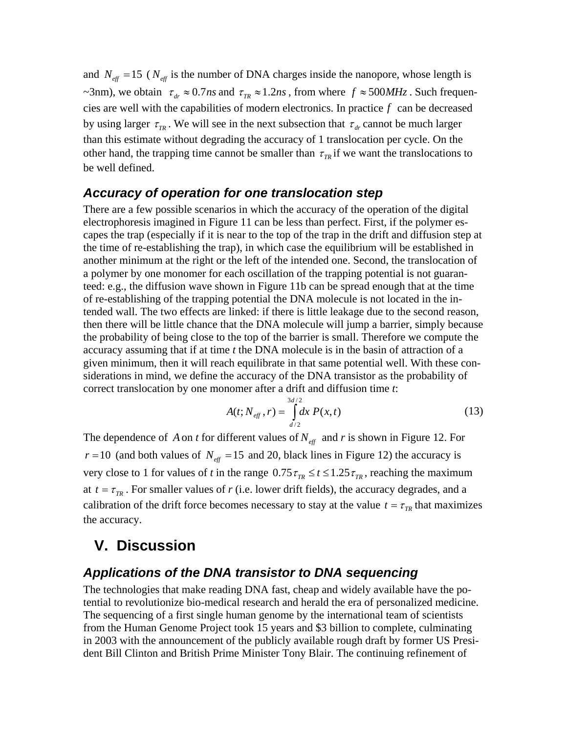and  $N_{\text{eff}} = 15$  ( $N_{\text{eff}}$  is the number of DNA charges inside the nanopore, whose length is ~3nm), we obtain  $\tau_{dr} \approx 0.7$ *ns* and  $\tau_{TR} \approx 1.2$ *ns*, from where  $f \approx 500$ *MHz*. Such frequencies are well with the capabilities of modern electronics. In practice *f* can be decreased by using larger  $\tau_{\tau_R}$ . We will see in the next subsection that  $\tau_{dr}$  cannot be much larger than this estimate without degrading the accuracy of 1 translocation per cycle. On the other hand, the trapping time cannot be smaller than  $\tau_{TR}$  if we want the translocations to be well defined.

#### *Accuracy of operation for one translocation step*

There are a few possible scenarios in which the accuracy of the operation of the digital electrophoresis imagined in [Figure 11](#page-22-0) can be less than perfect. First, if the polymer escapes the trap (especially if it is near to the top of the trap in the drift and diffusion step at the time of re-establishing the trap), in which case the equilibrium will be established in another minimum at the right or the left of the intended one. Second, the translocation of a polymer by one monomer for each oscillation of the trapping potential is not guaranteed: e.g., the diffusion wave shown in [Figure 11b](#page-22-0) can be spread enough that at the time of re-establishing of the trapping potential the DNA molecule is not located in the intended wall. The two effects are linked: if there is little leakage due to the second reason, then there will be little chance that the DNA molecule will jump a barrier, simply because the probability of being close to the top of the barrier is small. Therefore we compute the accuracy assuming that if at time *t* the DNA molecule is in the basin of attraction of a given minimum, then it will reach equilibrate in that same potential well. With these considerations in mind, we define the accuracy of the DNA transistor as the probability of correct translocation by one monomer after a drift and diffusion time *t*:

$$
A(t; N_{\text{eff}}^-, r) = \int_{d/2}^{3d/2} dx \, P(x, t) \tag{13}
$$

The dependence of *A* on *t* for different values of  $N_{\text{eff}}$  and *r* is shown in [Figure 12.](#page-22-1) For  $r = 10$  (and both values of  $N_{\text{eff}} = 15$  and 20, black lines in [Figure 12\)](#page-22-1) the accuracy is very close to 1 for values of *t* in the range  $0.75 \tau_{TR} \le t \le 1.25 \tau_{TR}$ , reaching the maximum at  $t = \tau_{TR}$ . For smaller values of *r* (i.e. lower drift fields), the accuracy degrades, and a calibration of the drift force becomes necessary to stay at the value  $t = \tau_{TR}$  that maximizes the accuracy.

### **V. Discussion**

#### *Applications of the DNA transistor to DNA sequencing*

The technologies that make reading DNA fast, cheap and widely available have the potential to revolutionize bio-medical research and herald the era of personalized medicine. The sequencing of a first single human genome by the international team of scientists from the Human Genome Project took 15 years and \$3 billion to complete, culminating in 2003 with the announcement of the publicly available rough draft by former US President Bill Clinton and British Prime Minister Tony Blair. The continuing refinement of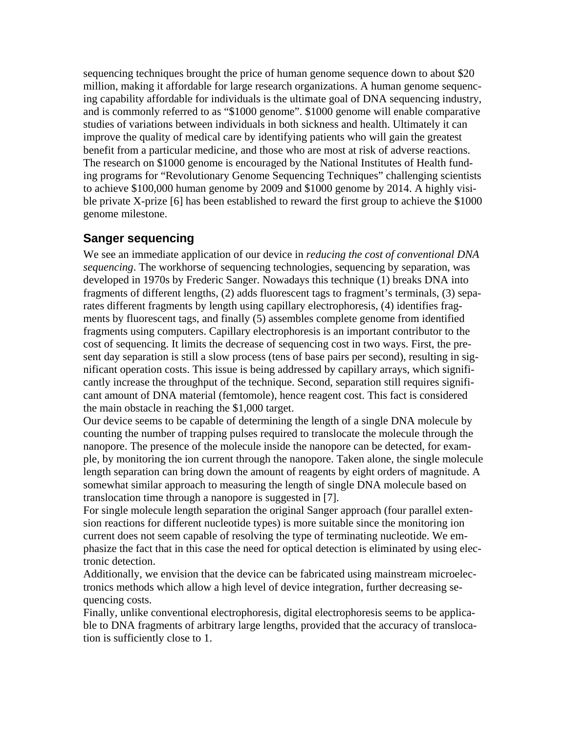sequencing techniques brought the price of human genome sequence down to about \$20 million, making it affordable for large research organizations. A human genome sequencing capability affordable for individuals is the ultimate goal of DNA sequencing industry, and is commonly referred to as "\$1000 genome". \$1000 genome will enable comparative studies of variations between individuals in both sickness and health. Ultimately it can improve the quality of medical care by identifying patients who will gain the greatest benefit from a particular medicine, and those who are most at risk of adverse reactions. The research on \$1000 genome is encouraged by the National Institutes of Health funding programs for "Revolutionary Genome Sequencing Techniques" challenging scientists to achieve \$100,000 human genome by 2009 and \$1000 genome by 2014. A highly visible private X-prize [6] has been established to reward the first group to achieve the \$1000 genome milestone.

#### **Sanger sequencing**

We see an immediate application of our device in *reducing the cost of conventional DNA sequencing*. The workhorse of sequencing technologies, sequencing by separation, was developed in 1970s by Frederic Sanger. Nowadays this technique (1) breaks DNA into fragments of different lengths, (2) adds fluorescent tags to fragment's terminals, (3) separates different fragments by length using capillary electrophoresis, (4) identifies fragments by fluorescent tags, and finally (5) assembles complete genome from identified fragments using computers. Capillary electrophoresis is an important contributor to the cost of sequencing. It limits the decrease of sequencing cost in two ways. First, the present day separation is still a slow process (tens of base pairs per second), resulting in significant operation costs. This issue is being addressed by capillary arrays, which significantly increase the throughput of the technique. Second, separation still requires significant amount of DNA material (femtomole), hence reagent cost. This fact is considered the main obstacle in reaching the \$1,000 target.

Our device seems to be capable of determining the length of a single DNA molecule by counting the number of trapping pulses required to translocate the molecule through the nanopore. The presence of the molecule inside the nanopore can be detected, for example, by monitoring the ion current through the nanopore. Taken alone, the single molecule length separation can bring down the amount of reagents by eight orders of magnitude. A somewhat similar approach to measuring the length of single DNA molecule based on translocation time through a nanopore is suggested in [7].

For single molecule length separation the original Sanger approach (four parallel extension reactions for different nucleotide types) is more suitable since the monitoring ion current does not seem capable of resolving the type of terminating nucleotide. We emphasize the fact that in this case the need for optical detection is eliminated by using electronic detection.

Additionally, we envision that the device can be fabricated using mainstream microelectronics methods which allow a high level of device integration, further decreasing sequencing costs.

Finally, unlike conventional electrophoresis, digital electrophoresis seems to be applicable to DNA fragments of arbitrary large lengths, provided that the accuracy of translocation is sufficiently close to 1.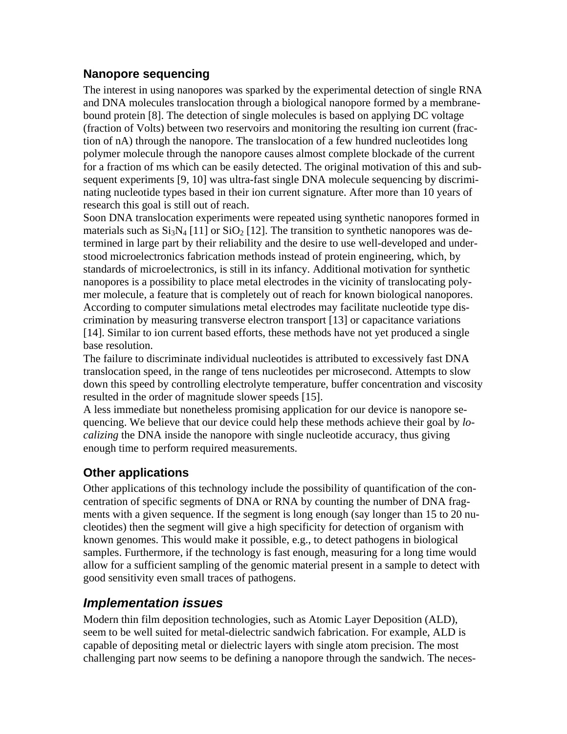#### **Nanopore sequencing**

The interest in using nanopores was sparked by the experimental detection of single RNA and DNA molecules translocation through a biological nanopore formed by a membranebound protein [8]. The detection of single molecules is based on applying DC voltage (fraction of Volts) between two reservoirs and monitoring the resulting ion current (fraction of nA) through the nanopore. The translocation of a few hundred nucleotides long polymer molecule through the nanopore causes almost complete blockade of the current for a fraction of ms which can be easily detected. The original motivation of this and subsequent experiments [9, 10] was ultra-fast single DNA molecule sequencing by discriminating nucleotide types based in their ion current signature. After more than 10 years of research this goal is still out of reach.

Soon DNA translocation experiments were repeated using synthetic nanopores formed in materials such as  $Si_3N_4$  [11] or  $Si_2$  [12]. The transition to synthetic nanopores was determined in large part by their reliability and the desire to use well-developed and understood microelectronics fabrication methods instead of protein engineering, which, by standards of microelectronics, is still in its infancy. Additional motivation for synthetic nanopores is a possibility to place metal electrodes in the vicinity of translocating polymer molecule, a feature that is completely out of reach for known biological nanopores. According to computer simulations metal electrodes may facilitate nucleotide type discrimination by measuring transverse electron transport [13] or capacitance variations [14]. Similar to ion current based efforts, these methods have not yet produced a single base resolution.

The failure to discriminate individual nucleotides is attributed to excessively fast DNA translocation speed, in the range of tens nucleotides per microsecond. Attempts to slow down this speed by controlling electrolyte temperature, buffer concentration and viscosity resulted in the order of magnitude slower speeds [15].

A less immediate but nonetheless promising application for our device is nanopore sequencing. We believe that our device could help these methods achieve their goal by *localizing* the DNA inside the nanopore with single nucleotide accuracy, thus giving enough time to perform required measurements.

#### **Other applications**

Other applications of this technology include the possibility of quantification of the concentration of specific segments of DNA or RNA by counting the number of DNA fragments with a given sequence. If the segment is long enough (say longer than 15 to 20 nucleotides) then the segment will give a high specificity for detection of organism with known genomes. This would make it possible, e.g., to detect pathogens in biological samples. Furthermore, if the technology is fast enough, measuring for a long time would allow for a sufficient sampling of the genomic material present in a sample to detect with good sensitivity even small traces of pathogens.

#### *Implementation issues*

Modern thin film deposition technologies, such as Atomic Layer Deposition (ALD), seem to be well suited for metal-dielectric sandwich fabrication. For example, ALD is capable of depositing metal or dielectric layers with single atom precision. The most challenging part now seems to be defining a nanopore through the sandwich. The neces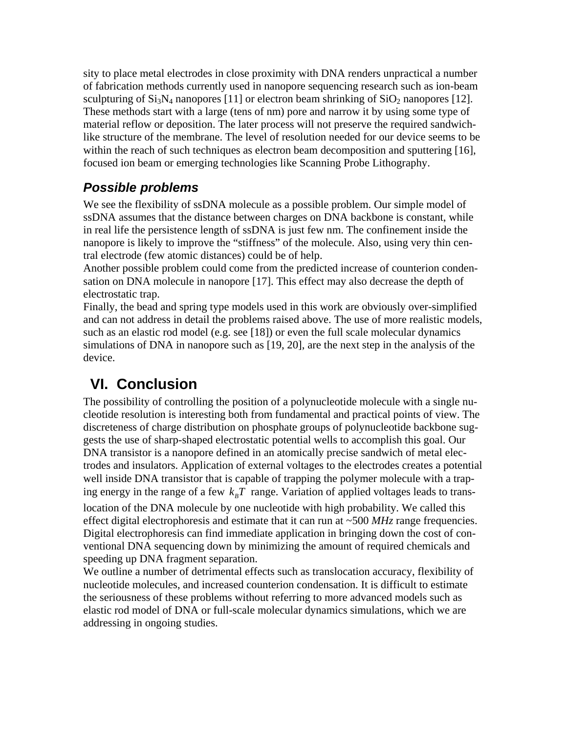sity to place metal electrodes in close proximity with DNA renders unpractical a number of fabrication methods currently used in nanopore sequencing research such as ion-beam sculpturing of  $Si_3N_4$  nanopores [11] or electron beam shrinking of  $SiO_2$  nanopores [12]. These methods start with a large (tens of nm) pore and narrow it by using some type of material reflow or deposition. The later process will not preserve the required sandwichlike structure of the membrane. The level of resolution needed for our device seems to be within the reach of such techniques as electron beam decomposition and sputtering [16], focused ion beam or emerging technologies like Scanning Probe Lithography.

## *Possible problems*

We see the flexibility of ssDNA molecule as a possible problem. Our simple model of ssDNA assumes that the distance between charges on DNA backbone is constant, while in real life the persistence length of ssDNA is just few nm. The confinement inside the nanopore is likely to improve the "stiffness" of the molecule. Also, using very thin central electrode (few atomic distances) could be of help.

Another possible problem could come from the predicted increase of counterion condensation on DNA molecule in nanopore [17]. This effect may also decrease the depth of electrostatic trap.

Finally, the bead and spring type models used in this work are obviously over-simplified and can not address in detail the problems raised above. The use of more realistic models, such as an elastic rod model (e.g. see [18]) or even the full scale molecular dynamics simulations of DNA in nanopore such as [19, 20], are the next step in the analysis of the device.

# **VI. Conclusion**

The possibility of controlling the position of a polynucleotide molecule with a single nucleotide resolution is interesting both from fundamental and practical points of view. The discreteness of charge distribution on phosphate groups of polynucleotide backbone suggests the use of sharp-shaped electrostatic potential wells to accomplish this goal. Our DNA transistor is a nanopore defined in an atomically precise sandwich of metal electrodes and insulators. Application of external voltages to the electrodes creates a potential well inside DNA transistor that is capable of trapping the polymer molecule with a traping energy in the range of a few  $k_B T$  range. Variation of applied voltages leads to translocation of the DNA molecule by one nucleotide with high probability. We called this effect digital electrophoresis and estimate that it can run at ~500 *MHz* range frequencies. Digital electrophoresis can find immediate application in bringing down the cost of conventional DNA sequencing down by minimizing the amount of required chemicals and speeding up DNA fragment separation.

We outline a number of detrimental effects such as translocation accuracy, flexibility of nucleotide molecules, and increased counterion condensation. It is difficult to estimate the seriousness of these problems without referring to more advanced models such as elastic rod model of DNA or full-scale molecular dynamics simulations, which we are addressing in ongoing studies.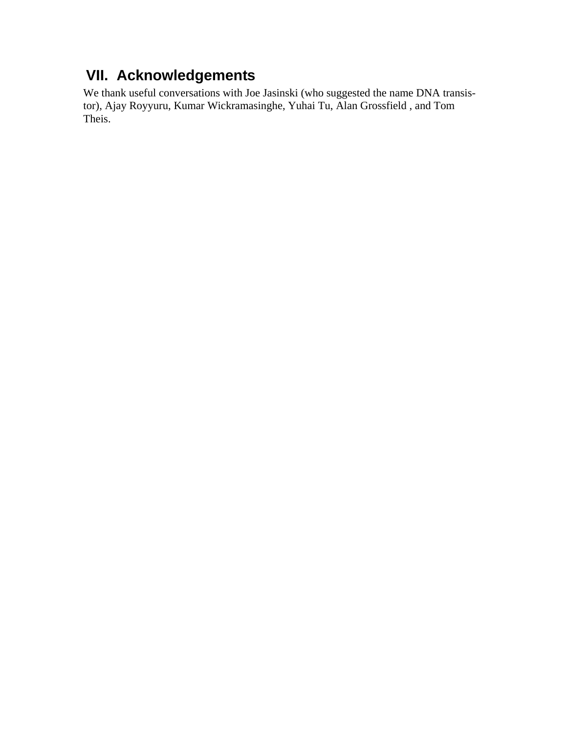# **VII. Acknowledgements**

We thank useful conversations with Joe Jasinski (who suggested the name DNA transistor), Ajay Royyuru, Kumar Wickramasinghe, Yuhai Tu, Alan Grossfield , and Tom Theis.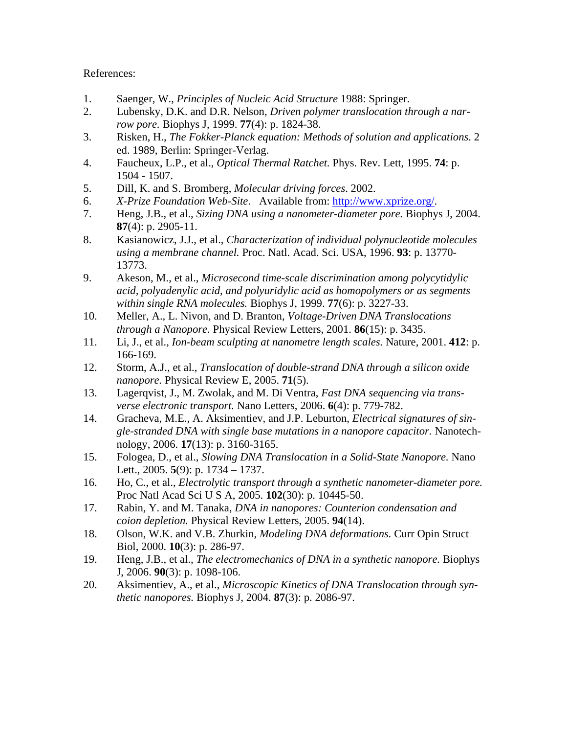#### References:

- 1. Saenger, W., *Principles of Nucleic Acid Structure* 1988: Springer.
- 2. Lubensky, D.K. and D.R. Nelson, *Driven polymer translocation through a narrow pore.* Biophys J, 1999. **77**(4): p. 1824-38.
- 3. Risken, H., *The Fokker-Planck equation: Methods of solution and applications*. 2 ed. 1989, Berlin: Springer-Verlag.
- 4. Faucheux, L.P., et al., *Optical Thermal Ratchet.* Phys. Rev. Lett, 1995. **74**: p. 1504 - 1507.
- 5. Dill, K. and S. Bromberg, *Molecular driving forces*. 2002.
- 6. *X-Prize Foundation Web-Site*. Available from:<http://www.xprize.org/>.
- 7. Heng, J.B., et al., *Sizing DNA using a nanometer-diameter pore.* Biophys J, 2004. **87**(4): p. 2905-11.
- 8. Kasianowicz, J.J., et al., *Characterization of individual polynucleotide molecules using a membrane channel.* Proc. Natl. Acad. Sci. USA, 1996. **93**: p. 13770- 13773.
- 9. Akeson, M., et al., *Microsecond time-scale discrimination among polycytidylic acid, polyadenylic acid, and polyuridylic acid as homopolymers or as segments within single RNA molecules.* Biophys J, 1999. **77**(6): p. 3227-33.
- 10. Meller, A., L. Nivon, and D. Branton, *Voltage-Driven DNA Translocations through a Nanopore.* Physical Review Letters, 2001. **86**(15): p. 3435.
- 11. Li, J., et al., *Ion-beam sculpting at nanometre length scales.* Nature, 2001. **412**: p. 166-169.
- 12. Storm, A.J., et al., *Translocation of double-strand DNA through a silicon oxide nanopore.* Physical Review E, 2005. **71**(5).
- 13. Lagerqvist, J., M. Zwolak, and M. Di Ventra, *Fast DNA sequencing via transverse electronic transport.* Nano Letters, 2006. **6**(4): p. 779-782.
- 14. Gracheva, M.E., A. Aksimentiev, and J.P. Leburton, *Electrical signatures of single-stranded DNA with single base mutations in a nanopore capacitor.* Nanotechnology, 2006. **17**(13): p. 3160-3165.
- 15. Fologea, D., et al., *Slowing DNA Translocation in a Solid-State Nanopore.* Nano Lett., 2005. **5**(9): p. 1734 – 1737.
- 16. Ho, C., et al., *Electrolytic transport through a synthetic nanometer-diameter pore.* Proc Natl Acad Sci U S A, 2005. **102**(30): p. 10445-50.
- 17. Rabin, Y. and M. Tanaka, *DNA in nanopores: Counterion condensation and coion depletion.* Physical Review Letters, 2005. **94**(14).
- 18. Olson, W.K. and V.B. Zhurkin, *Modeling DNA deformations.* Curr Opin Struct Biol, 2000. **10**(3): p. 286-97.
- 19. Heng, J.B., et al., *The electromechanics of DNA in a synthetic nanopore.* Biophys J, 2006. **90**(3): p. 1098-106.
- 20. Aksimentiev, A., et al., *Microscopic Kinetics of DNA Translocation through synthetic nanopores.* Biophys J, 2004. **87**(3): p. 2086-97.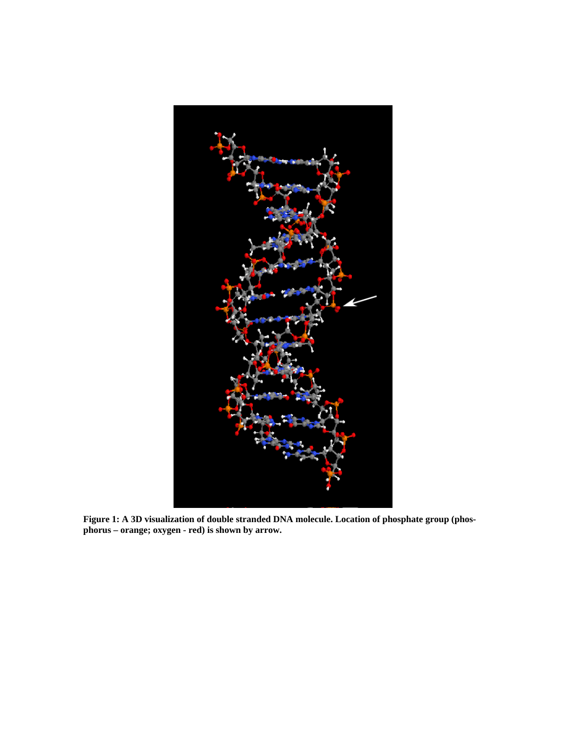

<span id="page-15-0"></span>**Figure 1: A 3D visualization of double stranded DNA molecule. Location of phosphate group (phosphorus – orange; oxygen - red) is shown by arrow.**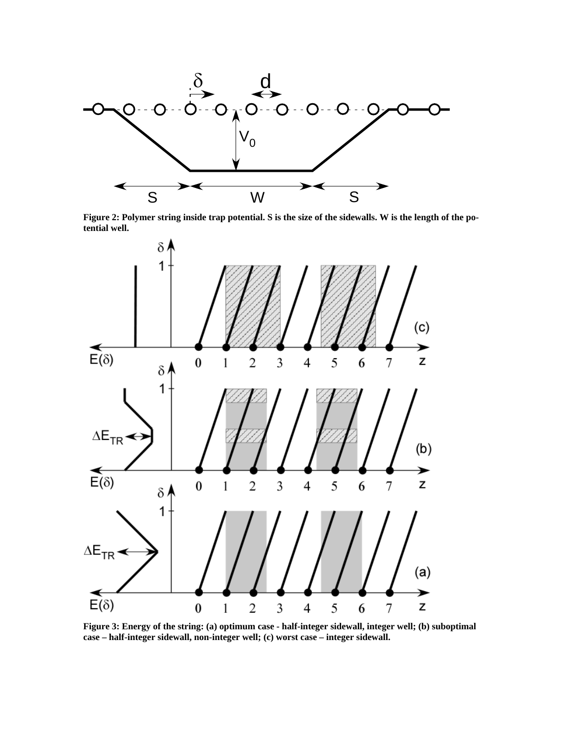

**Figure 2: Polymer string inside trap potential. S is the size of the sidewalls. W is the length of the potential well.** 

<span id="page-16-0"></span>

<span id="page-16-1"></span>**Figure 3: Energy of the string: (a) optimum case - half-integer sidewall, integer well; (b) suboptimal case – half-integer sidewall, non-integer well; (c) worst case – integer sidewall.**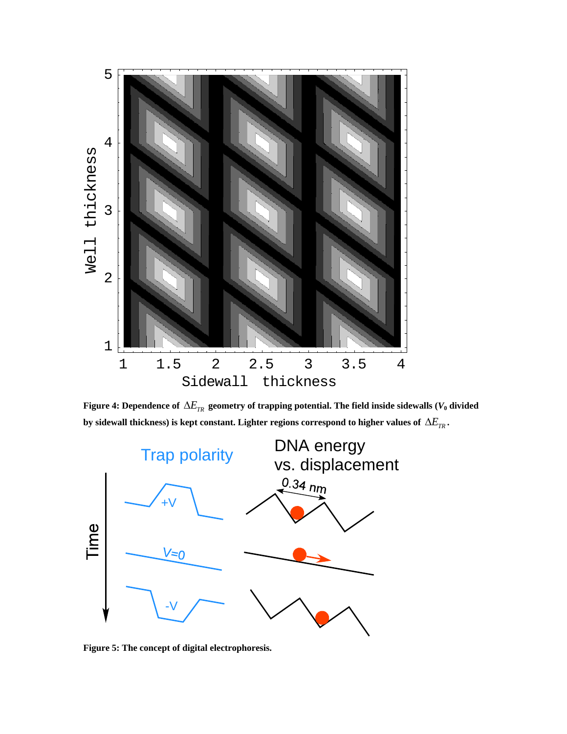

Figure 4: Dependence of  $\Delta E_{\rm \scriptscriptstyle TR}$  geometry of trapping potential. The field inside sidewalls ( $V_0$  divided by sidewall thickness) is kept constant. Lighter regions correspond to higher values of  $\Delta E_{\rm \scriptscriptstyle TR}$  .

<span id="page-17-0"></span>

<span id="page-17-1"></span>**Figure 5: The concept of digital electrophoresis.**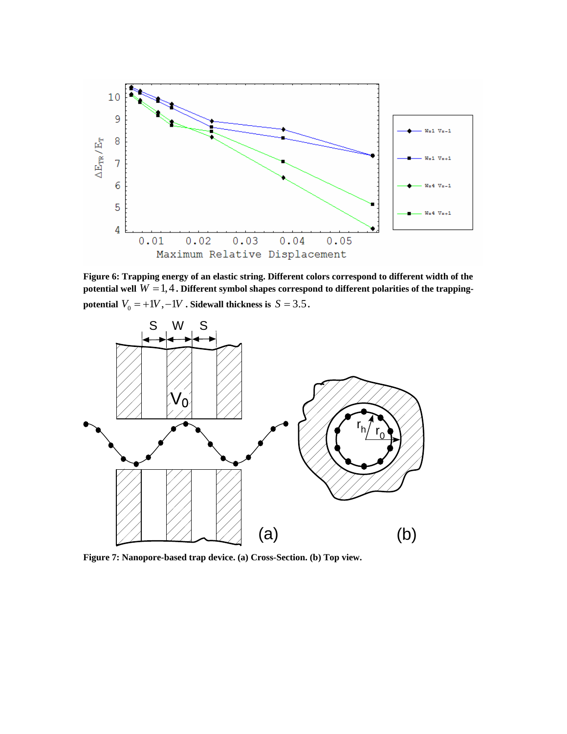

<span id="page-18-0"></span>**Figure 6: Trapping energy of an elastic string. Different colors correspond to different width of the**  potential well  $W = 1, 4$  . Different symbol shapes correspond to different polarities of the trapping**potential**  $V_0 = +1V, -1V$ . Sidewall thickness is  $S = 3.5$ .



<span id="page-18-1"></span>**Figure 7: Nanopore-based trap device. (a) Cross-Section. (b) Top view.**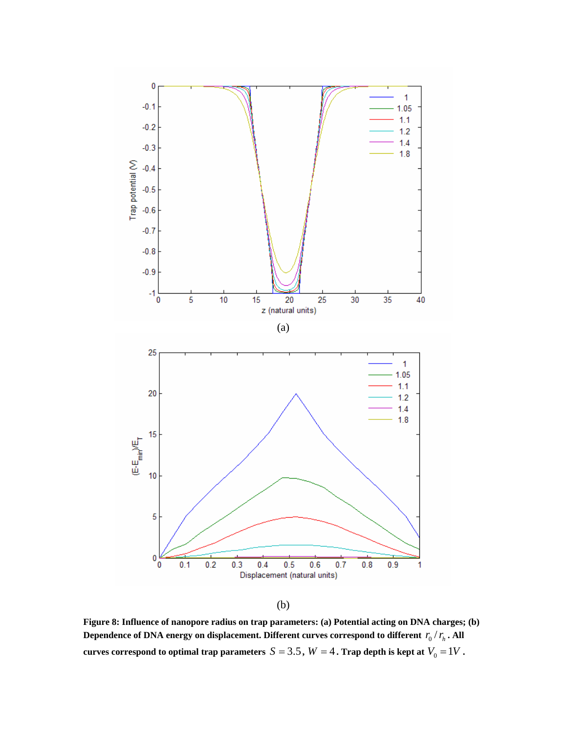

(b)

<span id="page-19-0"></span>**Figure 8: Influence of nanopore radius on trap parameters: (a) Potential acting on DNA charges; (b)**  Dependence of DNA energy on displacement. Different curves correspond to different  $\, r_{_{\!0}}/\, r_{_{\!h}}$  . All **curves correspond to optimal trap parameters**  $S = 3.5$ **,**  $W = 4$ **. Trap depth is kept at**  $V_0 = 1V$ **.**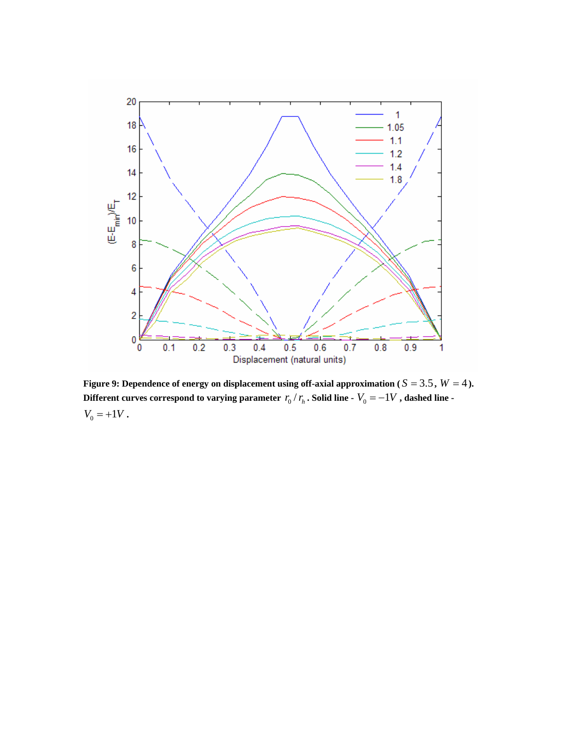

<span id="page-20-0"></span>**Figure 9: Dependence of energy on displacement using off-axial approximation (** $S = 3.5$ **,**  $W = 4$ **).** Different curves correspond to varying parameter  $\left. r_{0}\right/ r_{h}$  . Solid line -  $V_{0}=-1V$  , dashed line - $V_0 = +1V$ .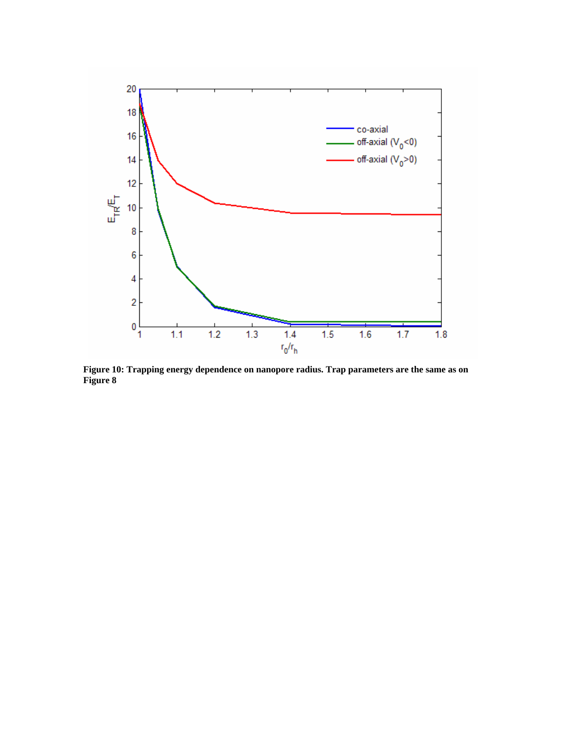

<span id="page-21-0"></span>**Figure 10: Trapping energy dependence on nanopore radius. Trap parameters are the same as on [Figure 8](#page-19-0)**